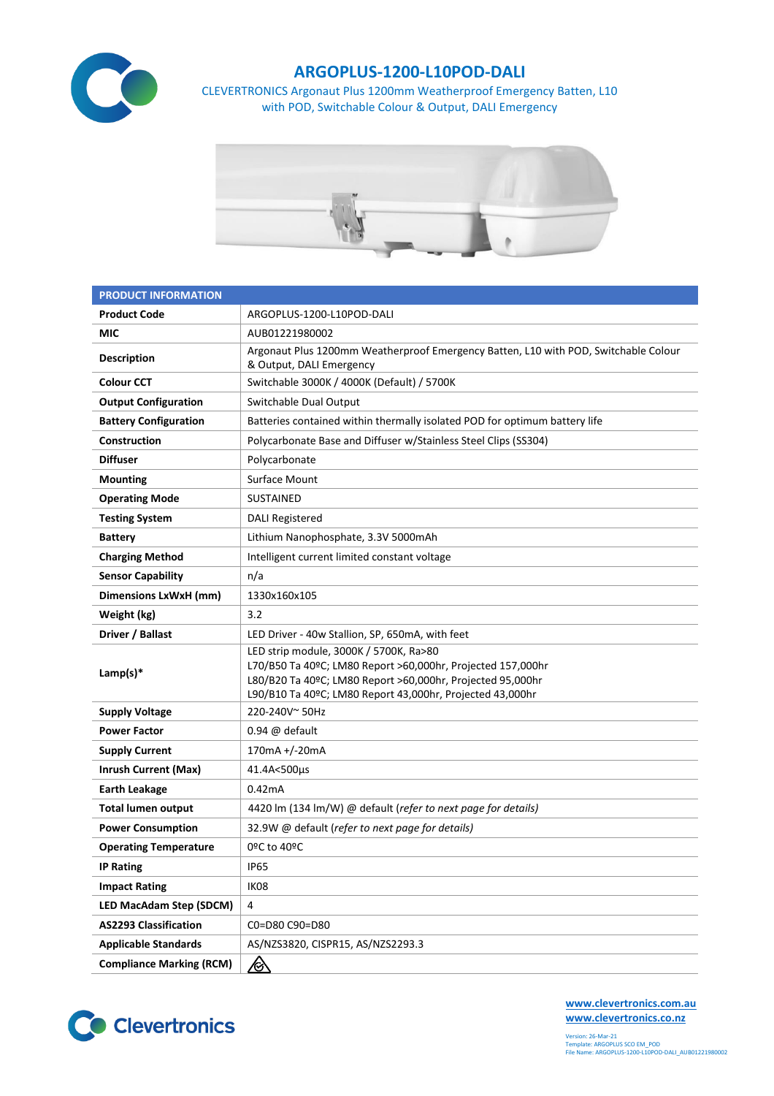

## **ARGOPLUS-1200-L10POD-DALI**

CLEVERTRONICS Argonaut Plus 1200mm Weatherproof Emergency Batten, L10 with POD, Switchable Colour & Output, DALI Emergency



| <b>PRODUCT INFORMATION</b>      |                                                                                                                                                                                                                                  |  |  |  |  |
|---------------------------------|----------------------------------------------------------------------------------------------------------------------------------------------------------------------------------------------------------------------------------|--|--|--|--|
| <b>Product Code</b>             | ARGOPLUS-1200-L10POD-DALI                                                                                                                                                                                                        |  |  |  |  |
| MIC                             | AUB01221980002                                                                                                                                                                                                                   |  |  |  |  |
| <b>Description</b>              | Argonaut Plus 1200mm Weatherproof Emergency Batten, L10 with POD, Switchable Colour<br>& Output, DALI Emergency                                                                                                                  |  |  |  |  |
| <b>Colour CCT</b>               | Switchable 3000K / 4000K (Default) / 5700K                                                                                                                                                                                       |  |  |  |  |
| <b>Output Configuration</b>     | Switchable Dual Output                                                                                                                                                                                                           |  |  |  |  |
| <b>Battery Configuration</b>    | Batteries contained within thermally isolated POD for optimum battery life                                                                                                                                                       |  |  |  |  |
| Construction                    | Polycarbonate Base and Diffuser w/Stainless Steel Clips (SS304)                                                                                                                                                                  |  |  |  |  |
| <b>Diffuser</b>                 | Polycarbonate                                                                                                                                                                                                                    |  |  |  |  |
| <b>Mounting</b>                 | <b>Surface Mount</b>                                                                                                                                                                                                             |  |  |  |  |
| <b>Operating Mode</b>           | <b>SUSTAINED</b>                                                                                                                                                                                                                 |  |  |  |  |
| <b>Testing System</b>           | <b>DALI Registered</b>                                                                                                                                                                                                           |  |  |  |  |
| <b>Battery</b>                  | Lithium Nanophosphate, 3.3V 5000mAh                                                                                                                                                                                              |  |  |  |  |
| <b>Charging Method</b>          | Intelligent current limited constant voltage                                                                                                                                                                                     |  |  |  |  |
| <b>Sensor Capability</b>        | n/a                                                                                                                                                                                                                              |  |  |  |  |
| Dimensions LxWxH (mm)           | 1330x160x105                                                                                                                                                                                                                     |  |  |  |  |
| Weight (kg)                     | 3.2                                                                                                                                                                                                                              |  |  |  |  |
| Driver / Ballast                | LED Driver - 40w Stallion, SP, 650mA, with feet                                                                                                                                                                                  |  |  |  |  |
| Lamp(s) $*$                     | LED strip module, 3000K / 5700K, Ra>80<br>L70/B50 Ta 40ºC; LM80 Report >60,000hr, Projected 157,000hr<br>L80/B20 Ta 40ºC; LM80 Report >60,000hr, Projected 95,000hr<br>L90/B10 Ta 40ºC; LM80 Report 43,000hr, Projected 43,000hr |  |  |  |  |
| <b>Supply Voltage</b>           | 220-240V~50Hz                                                                                                                                                                                                                    |  |  |  |  |
| <b>Power Factor</b>             | $0.94 \omega$ default                                                                                                                                                                                                            |  |  |  |  |
| <b>Supply Current</b>           | 170mA +/-20mA                                                                                                                                                                                                                    |  |  |  |  |
| <b>Inrush Current (Max)</b>     | 41.4A<500µs                                                                                                                                                                                                                      |  |  |  |  |
| <b>Earth Leakage</b>            | 0.42mA                                                                                                                                                                                                                           |  |  |  |  |
| <b>Total lumen output</b>       | 4420 lm (134 lm/W) @ default (refer to next page for details)                                                                                                                                                                    |  |  |  |  |
| <b>Power Consumption</b>        | 32.9W @ default (refer to next page for details)                                                                                                                                                                                 |  |  |  |  |
| <b>Operating Temperature</b>    | 0ºC to 40ºC                                                                                                                                                                                                                      |  |  |  |  |
| <b>IP Rating</b>                | <b>IP65</b>                                                                                                                                                                                                                      |  |  |  |  |
| <b>Impact Rating</b>            | IK08                                                                                                                                                                                                                             |  |  |  |  |
| <b>LED MacAdam Step (SDCM)</b>  | $\overline{4}$                                                                                                                                                                                                                   |  |  |  |  |
| <b>AS2293 Classification</b>    | C0=D80 C90=D80                                                                                                                                                                                                                   |  |  |  |  |
| <b>Applicable Standards</b>     | AS/NZS3820, CISPR15, AS/NZS2293.3                                                                                                                                                                                                |  |  |  |  |
| <b>Compliance Marking (RCM)</b> | <u>⁄⊗</u>                                                                                                                                                                                                                        |  |  |  |  |



**[www.clevertronics.com.au](http://www.clevertronics.com.au/) www.clevertronics.co.nz**

Version: 26-Mar-21 Template: ARGOPLUS SCO EM\_POD File Name: ARGOPLUS-1200-L10POD-DALI\_AUB01221980002